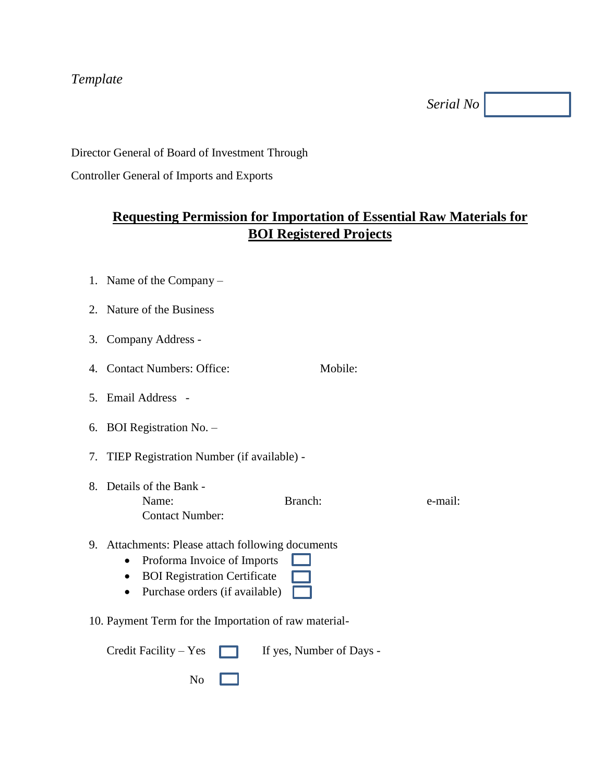#### *Template*

*Serial No*

Director General of Board of Investment Through

Controller General of Imports and Exports

## **Requesting Permission for Importation of Essential Raw Materials for BOI Registered Projects**

- 1. Name of the Company –
- 2. Nature of the Business
- 3. Company Address -
- 4. Contact Numbers: Office: Mobile:
- 5. Email Address -
- 6. BOI Registration No. –
- 7. TIEP Registration Number (if available) -
- 8. Details of the Bank Name: Branch: Branch: e-mail: Contact Number:
- 9. Attachments: Please attach following documents
	- Proforma Invoice of Imports
	- BOI Registration Certificate
	- Purchase orders (if available)  $\Box$
- 10. Payment Term for the Importation of raw material-

|                         | Credit Facility – Yes $\Box$ If yes, Number of Days - |  |  |
|-------------------------|-------------------------------------------------------|--|--|
| $\overline{N_0}$ $\Box$ |                                                       |  |  |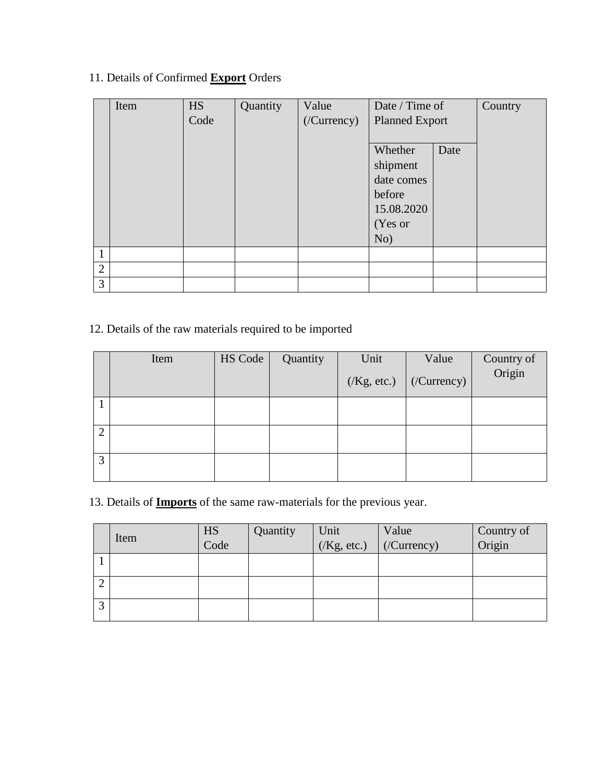#### 11. Details of Confirmed **Export** Orders

|                | Item | <b>HS</b> | Quantity | Value      | Date / Time of |                       | Country |
|----------------|------|-----------|----------|------------|----------------|-----------------------|---------|
|                |      | Code      |          | (Currency) |                | <b>Planned Export</b> |         |
|                |      |           |          |            |                |                       |         |
|                |      |           |          |            | Whether        | Date                  |         |
|                |      |           |          |            | shipment       |                       |         |
|                |      |           |          |            | date comes     |                       |         |
|                |      |           |          |            | before         |                       |         |
|                |      |           |          |            | 15.08.2020     |                       |         |
|                |      |           |          |            | (Yes or        |                       |         |
|                |      |           |          |            | No)            |                       |         |
| 1              |      |           |          |            |                |                       |         |
| $\overline{2}$ |      |           |          |            |                |                       |         |
| 3              |      |           |          |            |                |                       |         |

## 12. Details of the raw materials required to be imported

|   | Item | HS Code | Quantity | Unit | Value                             | Country of<br>Origin |
|---|------|---------|----------|------|-----------------------------------|----------------------|
|   |      |         |          |      | $(Xg, etc.)$ ( <i>/Currency</i> ) |                      |
|   |      |         |          |      |                                   |                      |
|   |      |         |          |      |                                   |                      |
| ി |      |         |          |      |                                   |                      |
| 3 |      |         |          |      |                                   |                      |

13. Details of **Imports** of the same raw-materials for the previous year.

|                   | Item | HS   | Quantity | Unit       | Value       | Country of |
|-------------------|------|------|----------|------------|-------------|------------|
|                   |      | Code |          | (Kg, etc.) | (/Currency) | Origin     |
|                   |      |      |          |            |             |            |
|                   |      |      |          |            |             |            |
|                   |      |      |          |            |             |            |
| $\sqrt{2}$<br>. J |      |      |          |            |             |            |